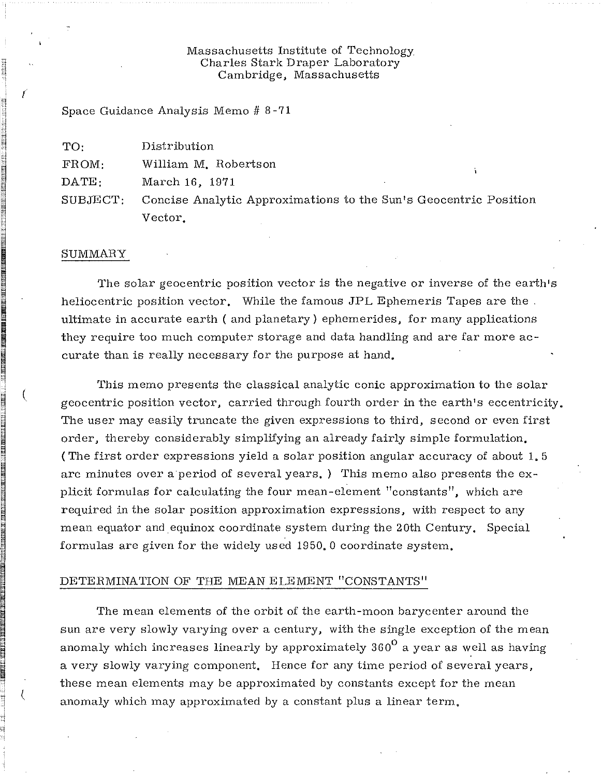## Massachusetts Institute of Technology. Charles Stark Draper Laboratory Cambridge, Massachusetts

Space Guidance Analysis Memo # 8 -71

| TO:   | Distribution                                                              |  |
|-------|---------------------------------------------------------------------------|--|
| FROM: | William M. Robertson                                                      |  |
| DATE: | March 16, 1971                                                            |  |
|       | SUBJECT: Concise Analytic Approximations to the Sun's Geocentric Position |  |
|       | Vector.                                                                   |  |

#### SUMMARY

I

(

1

The solar geocentric position vector is the negative or inverse of the earth's heliocentric position vector. While the famous JPL Ephemeris Tapes are the. ultimate in accurate earth ( and planetary) ephemerides, for many applications they require too much computer storage and data handling and are far more accurate than is really necessary for the purpose at hand.

This memo presents the classical analytic conic approximation to the solar geocentric position vector, carried through fourth order in the earth's eccentricity. The user may easily truncate the given expressions to third, second or even first order, thereby considerably simplifying an already fairly simple formulation. (The first order expressions yield a solar position angular accuracy of about 1.5 arc minutes over a period of several years.) This memo also presents the explicit formulas for calculating the four mean-element "constants", which are required in the solar position approximation expressions, with respect to any mean equator and equinox coordinate system during the 20th Century. Special formulas are given for the widely used 1950.0 coordinate system.

#### DETERMINATION OF THE MEAN ELEMENT "CONSTANTS"

The mean elements of the orbit of the earth-moon barycenter around the sun are very slowly varying over a century, with the single exception of the mean anomaly which increases linearly by approximately 360 $^{\sf o}$  a year as well as having a very slowly varying component. Hence for any time period of several years, these mean elements may be approximated by constants except for the mean anomaly which may approximated by a constant plus a linear term.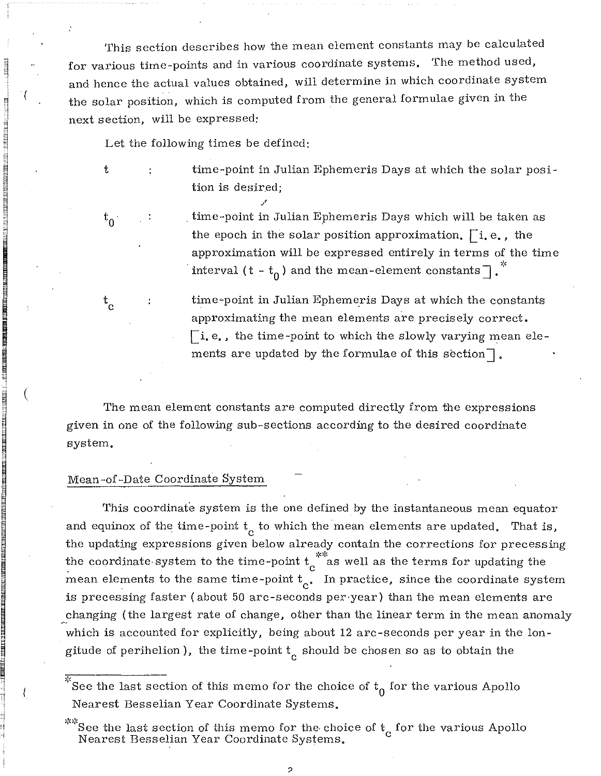This section describes how the mean element constants may be calculated for various time-points and in various coordinate systems. The method used, and hence the actual values obtained, will determine in which coordinate system the solar position, which is computed from the general formulae given in the next section, will be expressed:

Let the following times be defined:

/

time-point in Julian Ephemeris Days at which the solar position is desired;

 $t_{0}$  .

 $\mathrm{t_{c}^{}}$ 

t

I SERIKA PORTA TAI SHALLOR KARA SHIRI KATI SHIRI KARA SHIRI KATI SHIRI KATI SHIRI KATI SHIRI KATI SHIRI KATI S<br>Baranga Sanada<br>Anggota

(

an karatan salah sahiji dalam kalendar dan bagi dan bahasa dan bagi dan bagi dan bagi dan bagi dan bagi dan ba<br>Bagi dan bagi dan bagi dan bagi dan bagi dan bagi dan bagi dan bagi dan bagi dan bagi dan bagi dan bagi dan ba

~

iastu consta mentinen lääkään.<br>Internet

. time-point in Julian Ephemeris Days which will be taken as the epoch in the solar position approximation.  $\lceil i, e, \ldots \rceil$ approximation will be expressed entirely in terms of the time interval (t -  $t_0$ ) and the mean-element constants  $\lceil$ .

time-point in Julian Ephemeris Days at which the constants approximating the mean elements are precisely correct.  $\lceil$ i. e., the time-point to which the slowly varying mean elements are updated by the formulae of this section $\lceil \cdot \rceil$ .

The mean element constants are computed directly from the expressions given in one of the following sub-sections according to the desired coordinate system.

## Mean-of-Date Coordinate System

This coordinate system is the one defined by the instantaneous mean equator and equinox of the time-point  $t_c$  to which the mean elements are updated. That is, the updating expressions given below already contain the corrections for precessing the coordinate system to the time-point  $t_c^*$  as well as the terms for updating the mean elements to the same time-point  $t_c$ . In practice, since the coordinate system is precessing faster (about 50 arc-seconds per-year) than the mean elements are changing (the largest rate of change, other than the linear term in the mean anomaly which is accounted for explicitly, being about 12 arc-seconds per year in the longitude of perihelion ), the time-point  $t_c^{\phantom{\dag}}$  should be chosen so as to obtain the

,'- See the last section of this memo for the choice of  $\mathrm{t}_0$  for the various Apollo Nearest Besselian Year Coordinate Systems.

?

 $~^{*}\!\!$  See the last section of this memo for the choice of  $t_{\alpha}$  for the various Apollo Nearest Besselian Year Coordinate Systems. <sup>c</sup>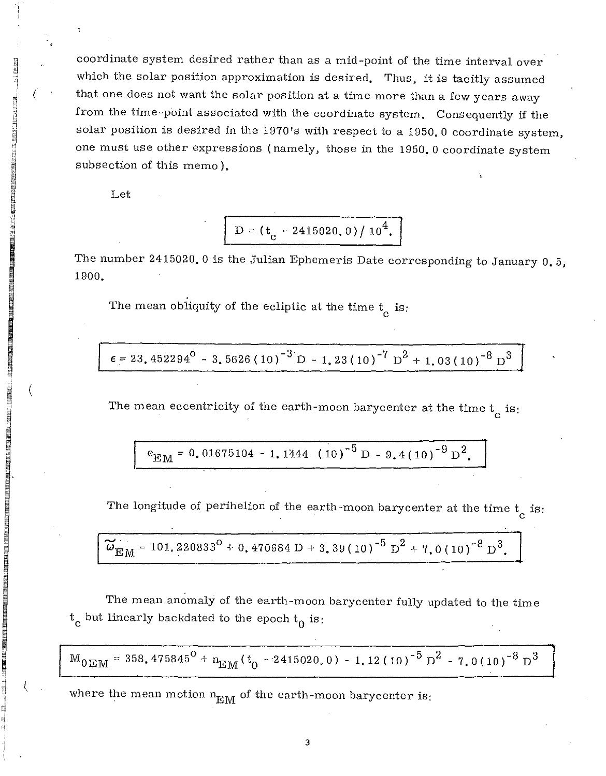coordinate system desired rather than as a mid-point of the time interval over which the solar position approximation is desired. Thus, it is tacitly assumed that one does not want the solar position at a time more than a few years away from the time-point associated with the coordinate system. Consequently if the solar position is desired in the 1970's with respect to a 1950.0 coordinate system, one must use other expressions (namely, those in the 1950.0 coordinate system subsection of this memo).

Let

!<br>!<br>!<br>!

(

 $\left($ 

**IN THE REAL PROPERTY OF A REAL PROPERTY OF A REAL PROPERTY OF A REAL PROPERTY OF A REAL PROPERTY OF A REAL PROPE**<br>In the contract of a real property of a real property of a real property of a real property of a real prope

I

I

I  $\zeta$ 

$$
D = (t_c - 2415020.0)/10^4.
$$

The number 2415020.0 is the Julian Ephemeris Date corresponding to January  $0.5$ , 1900.

The mean obliquity of the ecliptic at the time  $t_c$  is:

 $\epsilon$  = 23.452294<sup>0</sup> - 3.5626 (10)<sup>-3</sup> D - 1.23(10)<sup>-7</sup> D<sup>2</sup> + 1.03(10)<sup>-8</sup> D<sup>3</sup>

The mean eccentricity of the earth-moon barycenter at the time  $t_c$  is:

$$
e_{\text{EM}} = 0.01675104 - 1.1444 (10)^{-5} D - 9.4(10)^{-9} D^2.
$$

The longitude of perihelion of the earth-moon barycenter at the time  $\mathrm{t_{c}}$  is:

$$
\widetilde{\omega}_{\rm EM} = 101,220833^{\rm O} + 0,470684 {\rm D} + 3,39(10)^{-5} {\rm D}^{2} + 7,0(10)^{-8} {\rm D}^{3}.
$$

The mean anomaly of the earth-moon barycenter fully updated to the time  $t_c$  but linearly backdated to the epoch  $t_0$  is:

$$
\rm M_{0EM}=358.475845^{\circ}+\rm n_{EM}(\rm t_{0}-2415020.0)-1.12\,(10)^{-5}~\rm D^{2}-7.0\,(10)^{-8}~\rm D^{3}
$$

where the mean motion  $n_{EM}$  of the earth-moon barycenter is: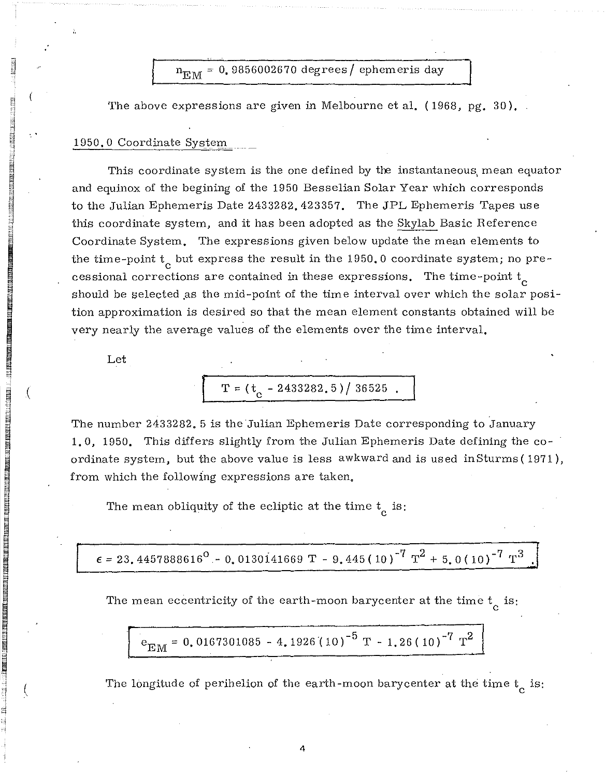$n_{\text{EM}}$  = 0.9856002670 degrees/ ephemeris day

The above expressions are given in Melbourne et al. (1968, pg. 30).

# 1950.0 Coordinate System

This coordinate system is the one defined by the instantaneous mean equator and equinox of the begining of the 1950 Besselian Solar Year which corresponds to the Julian Ephemeris Date 2433282.423357. The JPL Ephemeris Tapes use this coordinate system, and it has been adopted as the Skylab Basic Reference Coordinate System. The expressions given below update the mean elements to the time-point  $t_{\alpha}$  but express the result in the 1950.0 coordinate system; no precessional corrections are contained in these expressions. The time-point  ${\rm t_c}$ should be selected as the mid-point of the time interval over which the solar position approximation is desired so that the mean element constants obtained will be very nearly the average values of the elements over the time interval.

Let

'1 **I**<br>Indonésia<br>I ~ '1  $\mathbb{H}^-$ 

I

 $\blacksquare$  in the magnetic of  $\mathbb{Z}$  in  $\mathbb{Z}$  in the magnetic order of  $\blacksquare$ 

I  $\blacksquare$  $\Box$  .

 $\mathcal{L}$ 

$$
T = (t_c - 2433282.5) / 36525.
$$

The number 2433282. 5 is the Julian Ephemeris Date corresponding to January **1.0,** 1950. This differs slightly from the Julian Ephemeris Date defining the coordinate system, but the above value is less awkward and is used inSturms (1971), from which the following expressions are taken.

The mean obliquity of the ecliptic at the time  $t_c$  is:

 $\epsilon = 23.4457888616^{\circ} - 0.0130141669 \text{ T} - 9.445(10)^{-7} \text{ T}^2 + 5.0(10)^{-7} \text{ T}^3$ 

The mean eccentricity of the earth-moon barycenter at the time  $\mathrm{t_{c}}$  is:

$$
e_{\text{EM}} = 0.0167301085 - 4.1926(10)^{-5} \text{ T} - 1.26(10)^{-7} \text{ T}^2
$$

The longitude of perihelion of the earth-moon barycenter at the time  $\mathrm{t_{c}}$  is: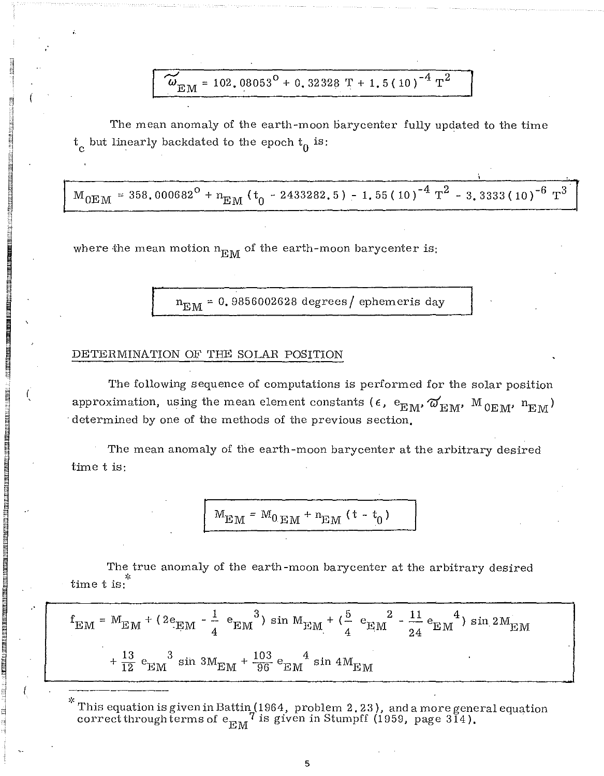$\omega_{\text{EM}}$  = 102,08053<sup>0</sup> + 0,32328 T + 1,5(10)<sup>-4</sup> T<sup>2</sup>

The mean anomaly of the earth-moon barycenter fully updated to the time  $t_c$  but linearly backdated to the epoch  $t_0$  is:

 $M_{0EM}$  = 358.000682<sup>0</sup> + n<sub>EM</sub> (t<sub>0</sub> - 2433282, 5) - 1.55 (10)<sup>-4</sup> T<sup>2</sup> - 3.3333 (10)<sup>-6</sup> T<sup>3</sup>

where the mean motion  $n_{E,M}$  of the earth-moon barycenter is:

 $\rm n_{EM}$  = 0.9856002628 degrees/ ephemeris day

## DETERMINATION OF THE SOLAR POSITION

LDEE.

'I j<br>} ~ '1  $^{\prime\prime}$ 

~ B

R nn an 1930.<br>Bailtean ~ :.1

**DEN KIRK KAN DENGAN BERKHERA DENGAN DENGAN BERKHERA DENGAN BERKHERA DENGAN BERKHERA DENGAN BERKHERA DENGAN BER**<br>IPAN DENGAN BERKHERA DENGAN BERKHERA DENGAN BERKHERA DENGAN BERKHERA DENGAN BERKHERA DENGAN BERKHERA DENGAN B

 $\begin{array}{ll} \begin{array}{ll} \begin{array}{ll} \begin{array}{ll} \begin{array}{ll} \end{array} \end{array} & \begin{array}{ll} \end{array} & \begin{array}{ll} \end{array} & \begin{array}{ll} \end{array} & \begin{array}{ll} \end{array} & \begin{array}{ll} \end{array} & \begin{array}{ll} \end{array} & \begin{array}{ll} \end{array} & \begin{array}{ll} \end{array} & \begin{array}{ll} \end{array} & \begin{array}{ll} \end{array} & \begin{array}{ll} \end{array} & \begin{array}{ll} \end{array} & \begin{array}{ll} \end{array} & \begin{array}{$ 

(  $\mathbf{r}$ 

~

~ " in the market from the matrice of the matrice of the matrice of the matrice of the matrice of the matrice<br>. The matrice of the matrice of the matrice of the matrice of the matrice of the matrice of the matrice of the<br>.

IS AN EAST FAN IN 1999 AN DE ROAD AL AN ART AN DE ROAD AL AN ART AN ART AN ART AN ART AN ART AN ART AN ART AN <br>In 1999 An De Road An Art An Art An Art An Art An Art An Art An Art An Art An Art An Art An Art An Art An Art<br>I

**.** 

i'1 t

 $\mathbf{I}$ 

₩. 50255<br>#1i± Ii! **II**<br>III III III III<br>II

> The following sequence of computations is performed for the solar position approximation, using the mean element constants ( $\epsilon$ ,  $e_{\text{EM}}$ ,  $\omega'_{\text{EM}}$ ,  $M_{0EM}$ ,  $n_{\text{EM}}$ ) . determined by one of the methods of the previous section,

The mean anomaly of the earth-moon barycenter at the arbitrary desired time tis:

$$
M_{\rm EM} = M_{0 \rm EM} + n_{\rm EM} (t - t_0)
$$

The true anomaly of the earth-moon barycenter at the arbitrary desired time  $t$  is:

$$
f_{\rm EM} = M_{\rm EM} + (2e_{\rm EM} - \frac{1}{4} e_{\rm EM}^3) \sin M_{\rm EM} + (\frac{5}{4} e_{\rm EM}^2 - \frac{11}{24} e_{\rm EM}^4) \sin 2M_{\rm EM}
$$
  
+  $\frac{13}{12} e_{\rm EM}^3 \sin 3M_{\rm EM} + \frac{103}{96} e_{\rm EM}^4 \sin 4M_{\rm EM}$ 

 $\lq$  This equation is given in Battin (1964, problem 2.23), and a more general equation  $\text{correct through terms of } \frac{1}{2} \text{ or } 7 \text{ is given in Stumpff (1959, page 314).}$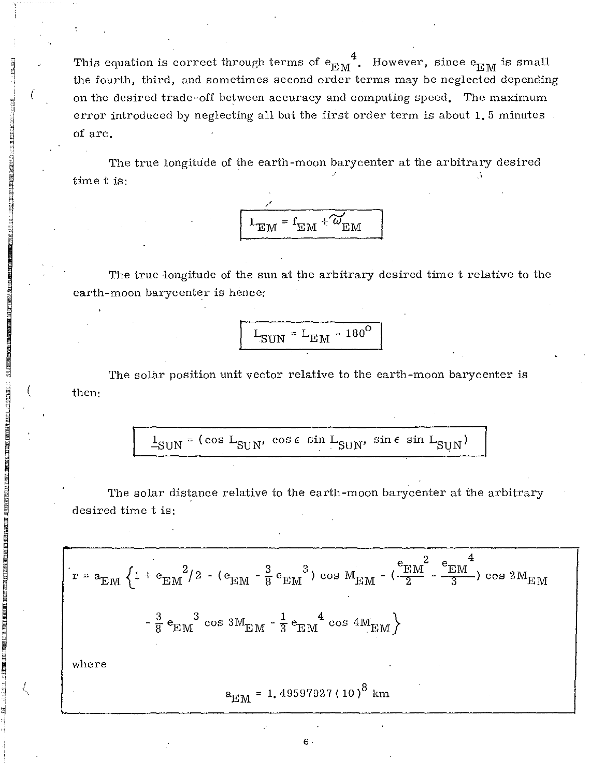This equation is correct through terms of  $e_{EM}^4$ . However, since  $e_{EM}$  is small the fourth, third, and sometimes second order terms may be neglected depending on the desired trade-off between accuracy and computing speed. The maximum error introduced by neglecting all but the first order term is about 1.5 minutes. of arc.

**Literature** 

rl

 $\equiv$ 

m  $\mathbf{H}$ H<br>H

IN 1992 Ween in die komponisie was dan die gewonden van die gewonden van die gewonden van die gewonden van die<br>In 1992 weer van die gewonden van die gewonden van die gewonden van die gewonden van die gewonden van die gewo<br>

~

I

**In the control of the control of the control of the control of the control of the control of the control of th**<br>In the control of the control of the control of the control of the control of the control of the control of

H

 $\mathcal{L}$ <,

 $\begin{matrix} 1 \\ 1 \end{matrix}$ j [1

The true longitude of the earth-moon barycenter at the arbitrary desired time t is:



The true longitude of the sun at the arbitrary desired time t relative to the earth-moon barycenter is hence:

$$
L_{\text{SUN}} = L_{\text{EM}} - 180^{\circ}
$$

The solar position unit vector relative to the earth-moon barycenter is then:

$$
1_{\text{SUM}} = (\cos L_{\text{SUM}}, \cos \epsilon \sin L_{\text{SUM}}, \sin \epsilon \sin L_{\text{SUM}})
$$

The solar distance relative to the earth-moon barycenter at the arbitrary desired time t is:

$$
r = a_{EM} \left\{ 1 + e_{EM}^2 / 2 - (e_{EM} - \frac{3}{8} e_{EM}^3) \cos M_{EM} - (\frac{e_{EM}^2}{2} - \frac{e_{EM}^4}{3}) \cos 2M_{EM} - \frac{3}{8} e_{EM}^3 \cos 3M_{EM} - \frac{1}{3} e_{EM}^4 \cos 4M_{EM} \right\}
$$
  
where  

$$
a_{EM} = 1.49597927 (10)^8 \text{ km}
$$

 $6\,$  .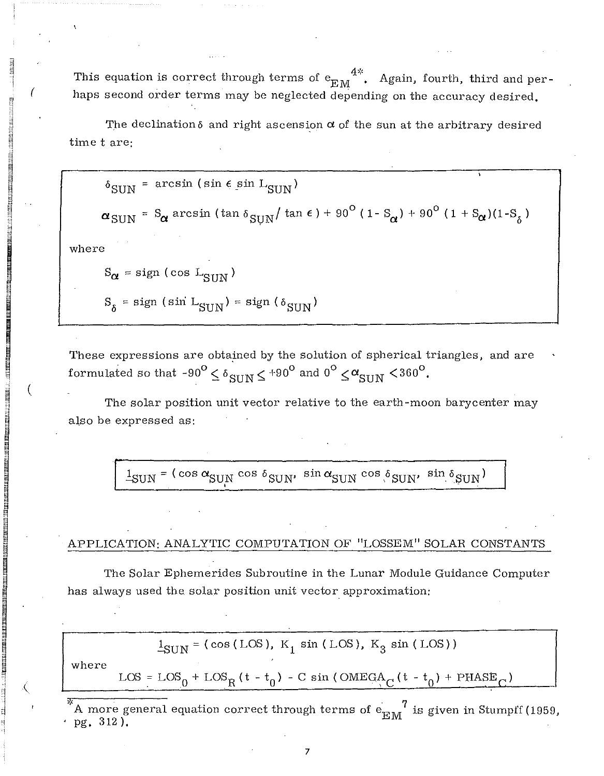This equation is correct through terms of  $e_{\text{EM}}^{4\%}$ . Again, fourth, third and perhaps second order terms may be neglected depending on the accuracy desired,

The declination  $\delta$  and right ascension  $\alpha$  of the sun at the arbitrary desired time tare:

 $\delta_{\text{SUN}}$  = arcsin (sin  $\epsilon$  sin L<sub>SUN</sub>)

 $\alpha_{\text{SUN}}$  = S<sub> $\alpha$ </sub> arcsin (tan  $\delta_{\text{SUN}}/$  tan  $\epsilon$ ) + 90<sup>o</sup> (1- S<sub> $\alpha$ </sub>) + 90<sup>o</sup> (1 + S<sub> $\alpha$ </sub>)(1-S<sub> $_{\delta}$ </sub>)

where

 $\prod_{i=1}^{\infty}$ 

 $\vec{r}$ '1 d<br>Dalen enti<br>Historia<br>Historia ;:; 'I

" i'I F! ;] s j  $\vec{a}$ n "' ;:l :,j

**B. 200 BM DR (MARK BRITAN BRITAN) (BRITAN)**<br>IS 200 BM DR (MARK BRITAN)<br>IS 200 BM DR (MARK BRITAN) (BRITAN) (BRITAN) (BRITAN)

I

 $\begin{bmatrix} 1 & 1 \\ 1 & 1 \end{bmatrix}$ ,-j ~

**Bade Beer a se man ry ABA**<br>-

i poznatelj poznatelj i poznatelj poznatelj i poznatelj i poznatelj i poznatelj i poznatelj i poznatelj i pozn<br>Diskografija

₹. an an an A ia de la france de la france de la france de la france de la france de la france de la france de la france de<br>La france de la france de la france de la france de la france de la france de la france de la france de la fra

₹. in a strong and the strong of

 $\mathcal{L}$ 

~ ad in History<br>In the Second Second Second Second Second Second Second Second Second Second Second Second Second Second Second

۹.

(

 $S_{\alpha} = sign (cos L<sub>SUN</sub>)$ 

 $S_{\delta}$  = sign (sin L<sub>SUN</sub>) = sign ( $\delta$ <sub>SUN</sub>)

These expressions are obtained by the solution of spherical triangles, and are formulated so that -90 $^{\rm O}$   $\leq$   $\delta_{\rm{SIIN}}$   $\leq$  +90 $^{\rm O}$  and 0 $^{\rm O}$   $\leq$   $\alpha_{\rm{SIIN}}$   $<$  360 $^{\rm O}$ .

The solar position unit vector relative to the earth-moon barycenter may also be expressed as:

 $\mathbf{1}_{\text{SUM}} = (\cos\alpha_{\text{SUM}}\cos\delta_{\text{SUM}},\ \sin\alpha_{\text{SUM}}\cos\delta_{\text{SUM}},\ \sin\delta_{\text{SUM}})$ 

## APPLICATION: ANALYTIC COMPUTATION OF "LOSSEM" SOLAR CONSTANTS

The Solar Ephemerides Subroutine in the Lunar Module Guidance Computer has always used the solar position unit vector approximation:

has always used the solar position unit vector approximation:  
\n
$$
\frac{1}{2}SUN = (cos (LOS), K_1 sin (LOS), K_3 sin (LOS))
$$
\nwhere  
\n
$$
LOS = LOS_0 + LOS_R (t - t_0) - C sin (OMEGA_C (t - t_0) + PHASE_C)
$$
\n
$$
K_{\text{A more general equation correct through terms of } e_{EM}^7 \text{ is given in Stumpff (1959) and the result of the system.}
$$

A more general equation correct through terms of  $e_{\text{EM}}^{\prime\prime}$  is given in Stumpff (1959, • pg. 312).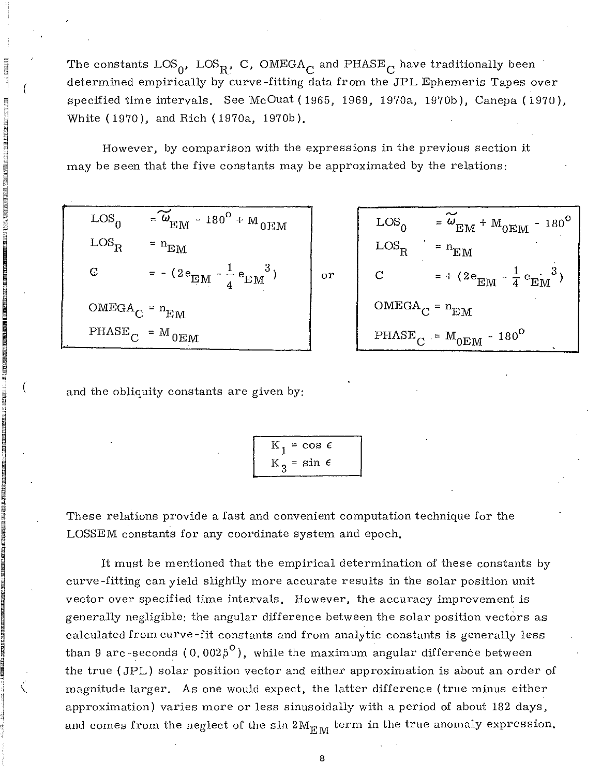The constants  $\text{LOS}_{0}$ ,  $\text{LOS}_{R}$ , C, OMEGA<sub>C</sub> and PHASE<sub>C</sub> have traditionally been determined empirically by curve-fitting data from the JPL Ephemeris Tapes over specified time intervals. See McOuat (1965, 1969, 1970a, 1970b), Canepa (1970), White (1970), and Rich (1970a, 1970b).

or

However, by comparison with the expressions in the previous section it may be seen that the five constants may be approximated by the relations:

| $\text{LOS}_{\Omega}$                                | $=\widetilde{\omega}_{\rm EM} - 180^{\rm O} + {\rm M}_{0 \rm EM}$ |
|------------------------------------------------------|-------------------------------------------------------------------|
| $LOS_R$                                              | $n_{EM}$                                                          |
| C                                                    | = - $(2e_{EM} - \frac{1}{4}e_{EM}^3)$                             |
| $\textsc{OMEGA}\xspace_C = \textit{n}_{\textsc{EM}}$ |                                                                   |
|                                                      | $PHASE_{C}$ = M <sub>0EM</sub>                                    |

.., 'I 14

'I 1 d i-j EI, 'I

(

**I ready and the second control of the second control of the second control of the second control of the second<br>In the second control of the second control of the second control of the second control of the second control** 

ina ang kalamatan di kabupatèn Kabupatèn Kabupatèn Kabupatèn Kabupatèn Kabupatèn Kabupatèn Kabupatèn Kabupatèn<br>Kabupatèn

~l

**EN AN DE DE TRANS** 

**TALE LE L'ALBERT SPACER :**<br>El proposto de la constancia de la constancia de la constancia de la constancia de la constancia de la constanci

 $\tilde{\mathcal{A}}$  .

~

 $\blacksquare$ 

SE現現的環境的建築を設置し、ISBN 1998年1999年1999年。<br>ISBN 1999年1999年

I t:1

ne ke kenn aan de tot de hij het gewone

in koola ilma ka kale kale ka shekara ka shekara ka shekara ka shekara ka shekara ka shekara ka shekara ka she<br>Marka ka shekara ka shekara ka shekara ka shekara ka shekara ka shekara ka shekara ka shekara ka shekara ka sh

 $\begin{array}{c} \begin{array}{c} \begin{array}{c} \begin{array}{c} \end{array} \end{array} \end{array}$  ( ) and the state of the same of the same of the same of the same of the same of the same of the same of the same of the same of the same of the same of the same of the same o

(

$$
LOG_{0} = \widetilde{\omega}_{EM} + M_{0EM} - 180^{\circ}
$$
  
\n
$$
LOG_{R} = n_{EM}
$$
  
\n
$$
C = + (2e_{EM} - \frac{1}{4}e_{EM}^{3})
$$
  
\n
$$
OMEGA_{C} = n_{EM}
$$
  
\n
$$
PHASE_{C} = M_{0EM} - 180^{\circ}
$$

and the obliquity constants are given by:

$$
K_1 = \cos \epsilon
$$
  

$$
K_3 = \sin \epsilon
$$

These relations provide a fast and convenient computation technique for the LOSSEM constants for any coordinate system and epoch.

It must be mentioned that the empirical determination of these constants by curve -fitting can yield slightly more accurate results in the solar position unit vector over specified time intervals. However, the accuracy improvement is generally negligible: the angular difference between the solar position vectors as calculated from curve-fit constants and from analytic constants is generally less than 9 arc-seconds (0.002 $5^{\circ}$ ), while the maximum angular difference between the true (JPL) solar position vector and either approximation is about an order of magnitude larger. As one would expect, the latter difference (true minus either approximation) varies more or less sinusoidally with a period of about 182 days, and comes from the neglect of the sin  $2M_{\rm EM}$  term in the true anomaly expression.

B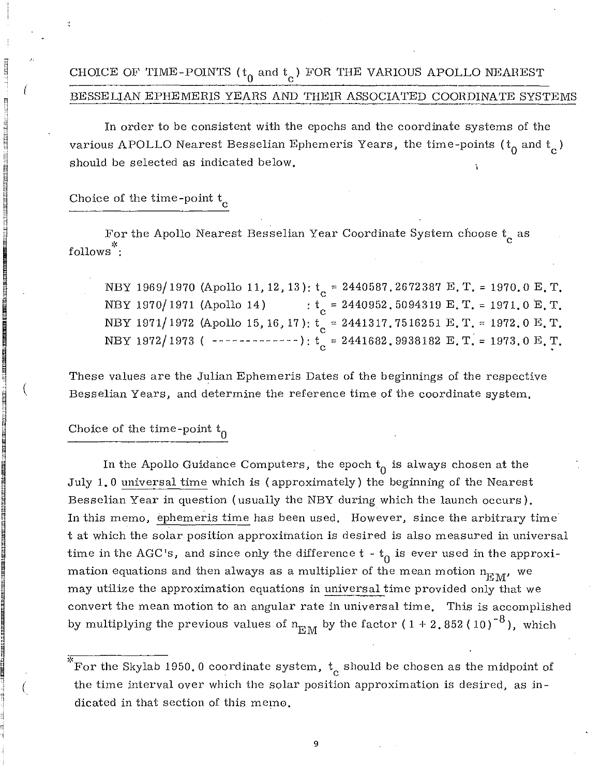# CHOICE OF TIME-POINTS ( $t_{0}$  and  $t_{c}$ ) FOR THE VARIOUS APOLLO NEAREST BESSELIAN EPHEMERIS YEARS AND THEIR ASSOCIATED COORDINATE SYSTEMS

In order to be consistent with the epochs and the coordinate systems of the various APOLLO Nearest Besselian Ephemeris Years, the time-points ( ${\rm t_0}$  and  ${\rm t_c}$  ) should be selected as indicated below.

Choice of the time-point  $t_c$ 

~  $^{122751}$ '1

 $\mathbf{j}$ į. " ~ n<br>Nati  $\mathbb{I}$  , :1 ;1 m ~ tl i ,  $\sharp\sharp$  $\mathbb{I}$ '-i t1

(

in medican jaar ook ja gelegaar gaar laan laan laan laan.<br>In medican jaar ook

ar 113,1911 en 162).<br>E

iku貴 jī 较森ork 麵 jī 收森ork ...<br>...

**III) și finestratea de present**<br>III<br>I 9  $\frac{1}{2}$  (

 $\frac{1}{2}$ iii

**ISSUE ZENERAREN BETI AUZEN**<br>IREGE '1

I

AN 1998 AN IN 1998 AN DEAR AN DEAR AN 1998.<br>In 1998 An Dear An Dear An Dear An Dear An Dear An Dear An Dear An Dear An Dear An Dear An Dear An Dear An De

Iii " n<br>" n<br>" n<br>" n

 $\cdot$   $\cdot$ i ., "  $\overline{\phantom{a}}$  $\vert$  ( :<br>! ~i '1

For the Apollo Nearest Besselian Year Coordinate System choose  $t_c$  as follows<sup>\*</sup>:

NBY 1969/1970 (Apollo 11, 12, 13): t<sub>c</sub> = 2440587.2672387 E.T. = 1970.0 E.T. NBY 1970/1971 (Apollo 14) :  $t_c = 2440952, 5094319 \text{ E. T.} = 1971.0 \text{ E. T.}$ NBY 1971/1972 (Apollo 15, 16, 17):  $t_c = 2441317.7516251 E. T. = 1972.0 E. T.$ NBY 1972/1973 ( -------------):  $t_c = 2441682.9938182 E. T. = 1973.0 E. T.$ 

These values are the Julian Ephemeris Dates of the beginnings of the respective Besselian Years, and determine the reference time of the coordinate system.

# Choice of the time-point  ${\rm t}_0$

In the Apollo Guidance Computers, the epoch  $t_0$  is always chosen at the July 1.0 universal time which is (approximately) the beginning of the Nearest Besselian Year in question (usually the NBY during which the launch occurs). In this memo, ephemeris time has been used. However, since the arbitrary time' t at which the solar position approximation is desired is also measured in universal time in the AGC's, and since only the difference  $t - t_0$  is ever used in the approximation equations and then always as a multiplier of the mean motion  $n_{\rm EM}^{\phantom{\dag}}$ , we may utilize the approximation equations in universal time provided only that we convert the mean motion to an angular rate in universal time. This is accomplished by multiplying the previous values of  $n_{\rm EM}$  by the factor ( 1 + 2.852 ( 10 )<sup>-8</sup> ), which

9

For the Skylab 1950.0 coordinate system,  $t_c$  should be chosen as the midpoint of the time interval over which the solar position approximation is desired, as indicated in that section of this memo.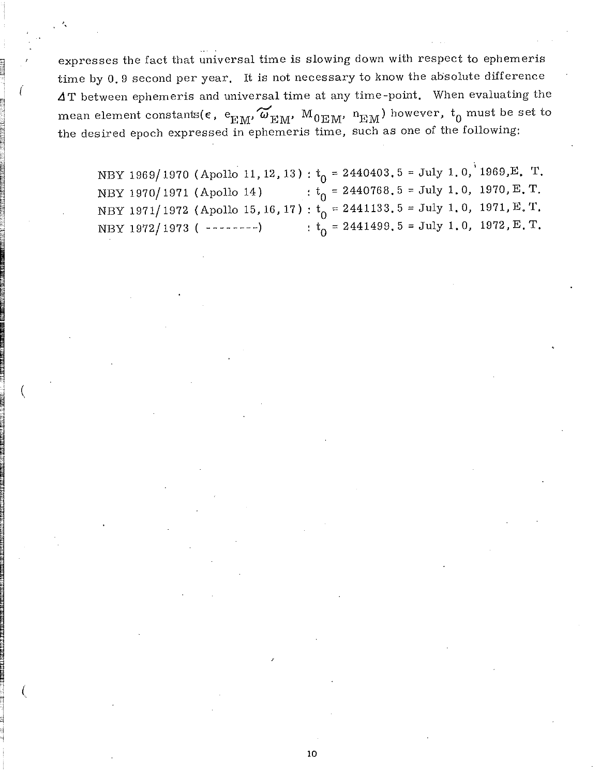expresses the fact that universal time is slowing down with respect to ephemeris time by 0.9 second per year. It is not necessary to know the absolute difference  $\Delta T$  between ephemeris and universal time at any time-point. When evaluating the mean element constants( $\epsilon$ ,  $e_{\text{EM}}$ ,  $\omega_{\text{EM}}$ ,  $M_{0 \text{EM}}$ ,  $n_{\text{EM}}$ ) however,  $t_0$  must be set to the desired epoch expressed in ephemeris time, such as one of the following:

~

'1

°1  $\frac{1}{2}$  ,

! ~  $~\cdots$ m :1 M

**PACE IN SURFACE OF BEARING IN A SHARE OF BEATHER** 

IIMANA ASARA) HALANG ANG KATANG AT AT A

o Said Sharker (Million School)<br>Daniel Sharker (Million School)

 $\frac{1}{2}$ j (  $~\blacksquare$ -:l

" "

n **IN PERSONAL PROPERTY** " ~

;; <sup>~</sup>

to

(

d

 $\frac{1}{2}$ **INTERNATIONAL** e i

de de la provincia de la provincia de la provincia de la provincia de la provincia de la provincia de la provi<br>De la provincia de la provincia de la provincia de la provincia de la provincia de la provincia de la provinci<br>

NBY 1969/1970 (Apollo 11, 12, 13):  $t_0$  = 2440403.5 = July 1.0, 1969,E. T. NBY 1970/1971 (Apollo 14) :  $t_0 = 2440768.5 = \text{July } 1.0, 1970, E. T.$ NBY 1971/1972 (Apollo 15, 16, 17):  $t_0 = 2441133.5 =$  July 1.0, 1971, E.T. NBY 1972/1973 ( --------) :  $t_0 = 2441499.5 =$  July 1.0, 1972, E.T.

10